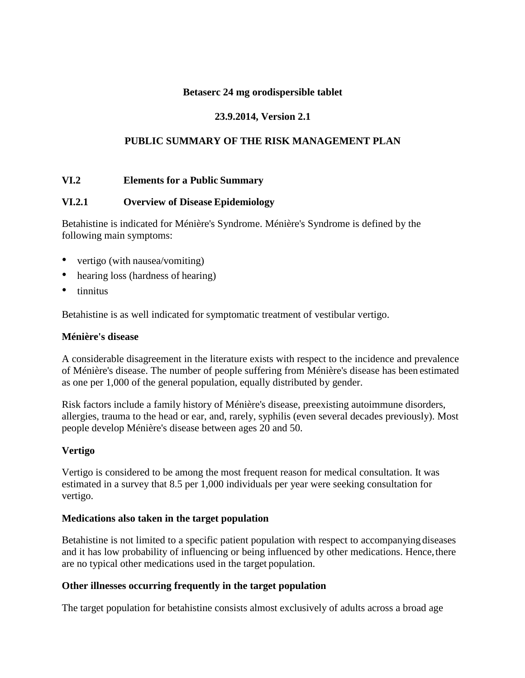### **Betaserc 24 mg orodispersible tablet**

# **23.9.2014, Version 2.1**

# **PUBLIC SUMMARY OF THE RISK MANAGEMENT PLAN**

### **VI.2 Elements for a Public Summary**

#### **VI.2.1 Overview of Disease Epidemiology**

Betahistine is indicated for Ménière's Syndrome. Ménière's Syndrome is defined by the following main symptoms:

- vertigo (with nausea/vomiting)
- hearing loss (hardness of hearing)
- tinnitus

Betahistine is as well indicated for symptomatic treatment of vestibular vertigo.

#### **Ménière's disease**

A considerable disagreement in the literature exists with respect to the incidence and prevalence of Ménière's disease. The number of people suffering from Ménière's disease has been estimated as one per 1,000 of the general population, equally distributed by gender.

Risk factors include a family history of Ménière's disease, preexisting autoimmune disorders, allergies, trauma to the head or ear, and, rarely, syphilis (even several decades previously). Most people develop Ménière's disease between ages 20 and 50.

#### **Vertigo**

Vertigo is considered to be among the most frequent reason for medical consultation. It was estimated in a survey that 8.5 per 1,000 individuals per year were seeking consultation for vertigo.

#### **Medications also taken in the target population**

Betahistine is not limited to a specific patient population with respect to accompanying diseases and it has low probability of influencing or being influenced by other medications. Hence, there are no typical other medications used in the target population.

## **Other illnesses occurring frequently in the target population**

The target population for betahistine consists almost exclusively of adults across a broad age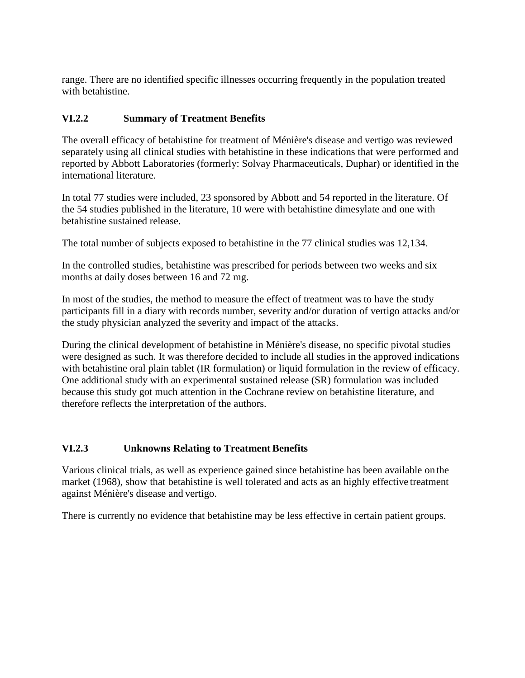range. There are no identified specific illnesses occurring frequently in the population treated with betahistine.

# **VI.2.2 Summary of Treatment Benefits**

The overall efficacy of betahistine for treatment of Ménière's disease and vertigo was reviewed separately using all clinical studies with betahistine in these indications that were performed and reported by Abbott Laboratories (formerly: Solvay Pharmaceuticals, Duphar) or identified in the international literature.

In total 77 studies were included, 23 sponsored by Abbott and 54 reported in the literature. Of the 54 studies published in the literature, 10 were with betahistine dimesylate and one with betahistine sustained release.

The total number of subjects exposed to betahistine in the 77 clinical studies was 12,134.

In the controlled studies, betahistine was prescribed for periods between two weeks and six months at daily doses between 16 and 72 mg.

In most of the studies, the method to measure the effect of treatment was to have the study participants fill in a diary with records number, severity and/or duration of vertigo attacks and/or the study physician analyzed the severity and impact of the attacks.

During the clinical development of betahistine in Ménière's disease, no specific pivotal studies were designed as such. It was therefore decided to include all studies in the approved indications with betahistine oral plain tablet (IR formulation) or liquid formulation in the review of efficacy. One additional study with an experimental sustained release (SR) formulation was included because this study got much attention in the Cochrane review on betahistine literature, and therefore reflects the interpretation of the authors.

# **VI.2.3 Unknowns Relating to Treatment Benefits**

Various clinical trials, as well as experience gained since betahistine has been available on the market (1968), show that betahistine is well tolerated and acts as an highly effective treatment against Ménière's disease and vertigo.

There is currently no evidence that betahistine may be less effective in certain patient groups.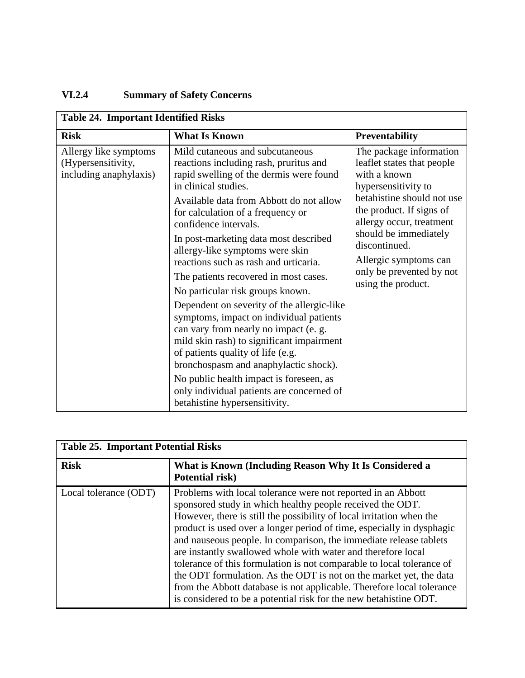# **VI.2.4 Summary of Safety Concerns**

| <b>Table 24. Important Identified Risks</b>                           |                                                                                                                                                                                                                                                           |                                                                                                                                                                                                                                                                                                         |  |  |
|-----------------------------------------------------------------------|-----------------------------------------------------------------------------------------------------------------------------------------------------------------------------------------------------------------------------------------------------------|---------------------------------------------------------------------------------------------------------------------------------------------------------------------------------------------------------------------------------------------------------------------------------------------------------|--|--|
| <b>Risk</b>                                                           | <b>What Is Known</b>                                                                                                                                                                                                                                      | <b>Preventability</b>                                                                                                                                                                                                                                                                                   |  |  |
| Allergy like symptoms<br>(Hypersensitivity,<br>including anaphylaxis) | Mild cutaneous and subcutaneous<br>reactions including rash, pruritus and<br>rapid swelling of the dermis were found<br>in clinical studies.<br>Available data from Abbott do not allow                                                                   | The package information<br>leaflet states that people<br>with a known<br>hypersensitivity to<br>betahistine should not use<br>the product. If signs of<br>allergy occur, treatment<br>should be immediately<br>discontinued.<br>Allergic symptoms can<br>only be prevented by not<br>using the product. |  |  |
|                                                                       | for calculation of a frequency or<br>confidence intervals.                                                                                                                                                                                                |                                                                                                                                                                                                                                                                                                         |  |  |
|                                                                       | In post-marketing data most described<br>allergy-like symptoms were skin<br>reactions such as rash and urticaria.                                                                                                                                         |                                                                                                                                                                                                                                                                                                         |  |  |
|                                                                       | The patients recovered in most cases.<br>No particular risk groups known.                                                                                                                                                                                 |                                                                                                                                                                                                                                                                                                         |  |  |
|                                                                       | Dependent on severity of the allergic-like<br>symptoms, impact on individual patients<br>can vary from nearly no impact (e. g.<br>mild skin rash) to significant impairment<br>of patients quality of life (e.g.<br>bronchospasm and anaphylactic shock). |                                                                                                                                                                                                                                                                                                         |  |  |
|                                                                       | No public health impact is foreseen, as<br>only individual patients are concerned of<br>betahistine hypersensitivity.                                                                                                                                     |                                                                                                                                                                                                                                                                                                         |  |  |

# **Table 24. Important Identified Risks**

| <b>Table 25. Important Potential Risks</b> |                                                                                                                                                                                                                                                                                                                                                                                                                                                                                                                                                                                                                                                                                                              |  |  |
|--------------------------------------------|--------------------------------------------------------------------------------------------------------------------------------------------------------------------------------------------------------------------------------------------------------------------------------------------------------------------------------------------------------------------------------------------------------------------------------------------------------------------------------------------------------------------------------------------------------------------------------------------------------------------------------------------------------------------------------------------------------------|--|--|
| <b>Risk</b>                                | What is Known (Including Reason Why It Is Considered a<br>Potential risk)                                                                                                                                                                                                                                                                                                                                                                                                                                                                                                                                                                                                                                    |  |  |
| Local tolerance (ODT)                      | Problems with local tolerance were not reported in an Abbott<br>sponsored study in which healthy people received the ODT.<br>However, there is still the possibility of local irritation when the<br>product is used over a longer period of time, especially in dysphagic<br>and nauseous people. In comparison, the immediate release tablets<br>are instantly swallowed whole with water and therefore local<br>tolerance of this formulation is not comparable to local tolerance of<br>the ODT formulation. As the ODT is not on the market yet, the data<br>from the Abbott database is not applicable. Therefore local tolerance<br>is considered to be a potential risk for the new betahistine ODT. |  |  |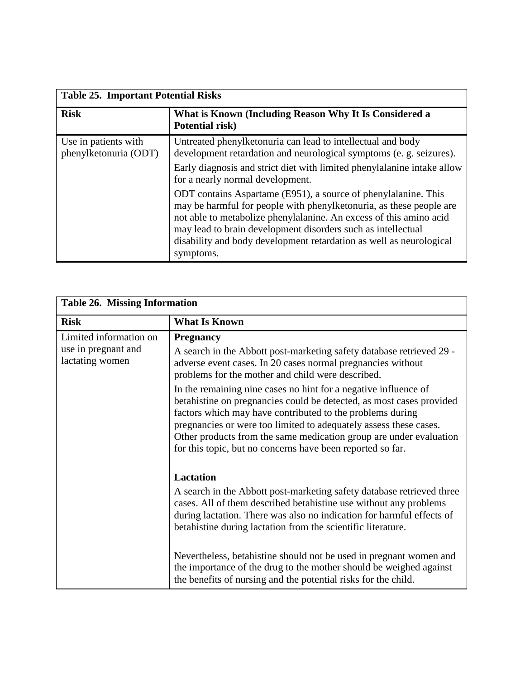| <b>Table 25. Important Potential Risks</b>    |                                                                                                                                                                                                                                                                                                                                                                 |  |  |
|-----------------------------------------------|-----------------------------------------------------------------------------------------------------------------------------------------------------------------------------------------------------------------------------------------------------------------------------------------------------------------------------------------------------------------|--|--|
| <b>Risk</b>                                   | What is Known (Including Reason Why It Is Considered a<br>Potential risk)                                                                                                                                                                                                                                                                                       |  |  |
| Use in patients with<br>phenylketonuria (ODT) | Untreated phenylketonuria can lead to intellectual and body<br>development retardation and neurological symptoms (e. g. seizures).                                                                                                                                                                                                                              |  |  |
|                                               | Early diagnosis and strict diet with limited phenylalanine intake allow<br>for a nearly normal development.                                                                                                                                                                                                                                                     |  |  |
|                                               | ODT contains Aspartame (E951), a source of phenylalanine. This<br>may be harmful for people with phenylketonuria, as these people are<br>not able to metabolize phenylalanine. An excess of this amino acid<br>may lead to brain development disorders such as intellectual<br>disability and body development retardation as well as neurological<br>symptoms. |  |  |

| <b>Table 26. Missing Information</b>                             |                                                                                                                                                                                                                                                                                                                                                                                                                                                                                                                        |  |  |
|------------------------------------------------------------------|------------------------------------------------------------------------------------------------------------------------------------------------------------------------------------------------------------------------------------------------------------------------------------------------------------------------------------------------------------------------------------------------------------------------------------------------------------------------------------------------------------------------|--|--|
| <b>Risk</b>                                                      | <b>What Is Known</b>                                                                                                                                                                                                                                                                                                                                                                                                                                                                                                   |  |  |
| Limited information on<br>use in pregnant and<br>lactating women | <b>Pregnancy</b><br>A search in the Abbott post-marketing safety database retrieved 29 -<br>adverse event cases. In 20 cases normal pregnancies without<br>problems for the mother and child were described.                                                                                                                                                                                                                                                                                                           |  |  |
|                                                                  | In the remaining nine cases no hint for a negative influence of<br>betahistine on pregnancies could be detected, as most cases provided<br>factors which may have contributed to the problems during<br>pregnancies or were too limited to adequately assess these cases.<br>Other products from the same medication group are under evaluation<br>for this topic, but no concerns have been reported so far.                                                                                                          |  |  |
|                                                                  | <b>Lactation</b><br>A search in the Abbott post-marketing safety database retrieved three<br>cases. All of them described beta histine use without any problems<br>during lactation. There was also no indication for harmful effects of<br>betahistine during lactation from the scientific literature.<br>Nevertheless, betahistine should not be used in pregnant women and<br>the importance of the drug to the mother should be weighed against<br>the benefits of nursing and the potential risks for the child. |  |  |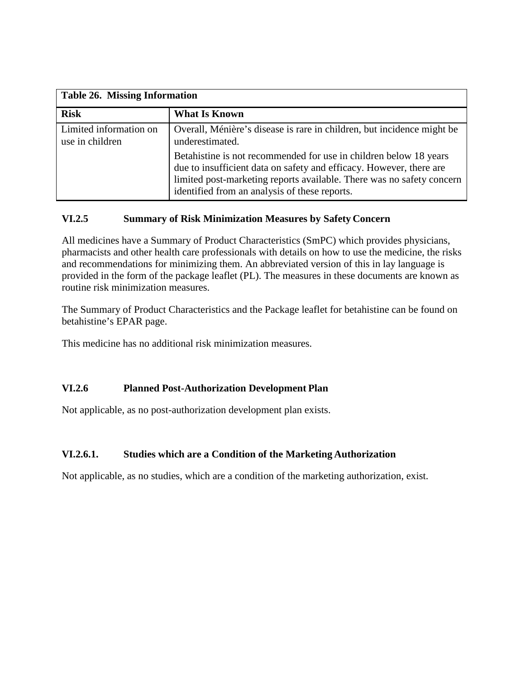| <b>Table 26. Missing Information</b>      |                                                                                                                                                                                                                                                                    |  |  |
|-------------------------------------------|--------------------------------------------------------------------------------------------------------------------------------------------------------------------------------------------------------------------------------------------------------------------|--|--|
| <b>Risk</b>                               | <b>What Is Known</b>                                                                                                                                                                                                                                               |  |  |
| Limited information on<br>use in children | Overall, Ménière's disease is rare in children, but incidence might be<br>underestimated.                                                                                                                                                                          |  |  |
|                                           | Betahistine is not recommended for use in children below 18 years<br>due to insufficient data on safety and efficacy. However, there are<br>limited post-marketing reports available. There was no safety concern<br>identified from an analysis of these reports. |  |  |

## **VI.2.5 Summary of Risk Minimization Measures by Safety Concern**

All medicines have a Summary of Product Characteristics (SmPC) which provides physicians, pharmacists and other health care professionals with details on how to use the medicine, the risks and recommendations for minimizing them. An abbreviated version of this in lay language is provided in the form of the package leaflet (PL). The measures in these documents are known as routine risk minimization measures.

The Summary of Product Characteristics and the Package leaflet for betahistine can be found on betahistine's EPAR page.

This medicine has no additional risk minimization measures.

## **VI.2.6 Planned Post-Authorization Development Plan**

Not applicable, as no post-authorization development plan exists.

## **VI.2.6.1. Studies which are a Condition of the Marketing Authorization**

Not applicable, as no studies, which are a condition of the marketing authorization, exist.